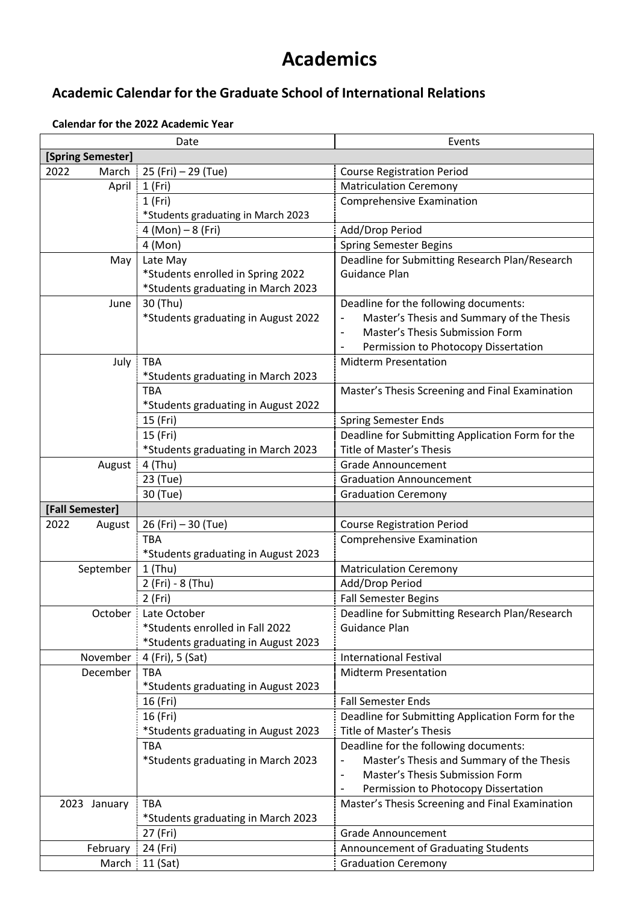## **Academics**

## **Academic Calendar for the Graduate School of International Relations**

## **Calendar for the 2022 Academic Year**

| Date              |                                     | Events                                                                                                       |
|-------------------|-------------------------------------|--------------------------------------------------------------------------------------------------------------|
| [Spring Semester] |                                     |                                                                                                              |
| 2022<br>March     | 25 (Fri) - 29 (Tue)                 | <b>Course Registration Period</b>                                                                            |
| April             | 1(Fri)                              | <b>Matriculation Ceremony</b>                                                                                |
|                   | 1(Fri)                              | <b>Comprehensive Examination</b>                                                                             |
|                   | *Students graduating in March 2023  |                                                                                                              |
|                   | $4 (Mon) - 8 (Fri)$                 | Add/Drop Period                                                                                              |
|                   | 4 (Mon)                             | <b>Spring Semester Begins</b>                                                                                |
| May               | Late May                            | Deadline for Submitting Research Plan/Research                                                               |
|                   | *Students enrolled in Spring 2022   | <b>Guidance Plan</b>                                                                                         |
|                   | *Students graduating in March 2023  |                                                                                                              |
| June              | 30 (Thu)                            | Deadline for the following documents:                                                                        |
|                   | *Students graduating in August 2022 | Master's Thesis and Summary of the Thesis                                                                    |
|                   |                                     | Master's Thesis Submission Form                                                                              |
|                   |                                     | Permission to Photocopy Dissertation                                                                         |
| July              | <b>TBA</b>                          | <b>Midterm Presentation</b>                                                                                  |
|                   | *Students graduating in March 2023  |                                                                                                              |
|                   | <b>TBA</b>                          | Master's Thesis Screening and Final Examination                                                              |
|                   | *Students graduating in August 2022 |                                                                                                              |
|                   | 15 (Fri)                            | <b>Spring Semester Ends</b>                                                                                  |
|                   | 15 (Fri)                            | Deadline for Submitting Application Form for the                                                             |
|                   | *Students graduating in March 2023  | Title of Master's Thesis                                                                                     |
| August            | 4 (Thu)                             | <b>Grade Announcement</b>                                                                                    |
|                   | 23 (Tue)                            | <b>Graduation Announcement</b>                                                                               |
|                   | 30 (Tue)                            | <b>Graduation Ceremony</b>                                                                                   |
| [Fall Semester]   |                                     |                                                                                                              |
| 2022<br>August    | 26 (Fri) - 30 (Tue)                 | <b>Course Registration Period</b>                                                                            |
|                   | <b>TBA</b>                          | Comprehensive Examination                                                                                    |
|                   | *Students graduating in August 2023 |                                                                                                              |
| September         | $1$ (Thu)                           | <b>Matriculation Ceremony</b>                                                                                |
|                   | 2 (Fri) - 8 (Thu)                   | Add/Drop Period                                                                                              |
|                   | 2 (Fri)                             | <b>Fall Semester Begins</b>                                                                                  |
| October :         | Late October                        | Deadline for Submitting Research Plan/Research                                                               |
|                   | *Students enrolled in Fall 2022     | Guidance Plan                                                                                                |
|                   | *Students graduating in August 2023 |                                                                                                              |
| November          | 4 (Fri), 5 (Sat)                    | <b>International Festival</b>                                                                                |
| December          | <b>TBA</b>                          | <b>Midterm Presentation</b>                                                                                  |
|                   | *Students graduating in August 2023 |                                                                                                              |
|                   | 16 (Fri)                            | <b>Fall Semester Ends</b>                                                                                    |
|                   | 16 (Fri)                            | Deadline for Submitting Application Form for the                                                             |
|                   | *Students graduating in August 2023 | <b>Title of Master's Thesis</b>                                                                              |
|                   | <b>TBA</b>                          | Deadline for the following documents:                                                                        |
|                   | *Students graduating in March 2023  | Master's Thesis and Summary of the Thesis<br>Master's Thesis Submission Form<br>$\qquad \qquad \blacksquare$ |
|                   |                                     |                                                                                                              |
|                   | <b>TBA</b>                          | Permission to Photocopy Dissertation<br>Master's Thesis Screening and Final Examination                      |
| 2023 January      | *Students graduating in March 2023  |                                                                                                              |
|                   | 27 (Fri)                            | Grade Announcement                                                                                           |
| February          | 24 (Fri)                            | Announcement of Graduating Students                                                                          |
|                   | 11 (Sat)                            | <b>Graduation Ceremony</b>                                                                                   |
| March             |                                     |                                                                                                              |